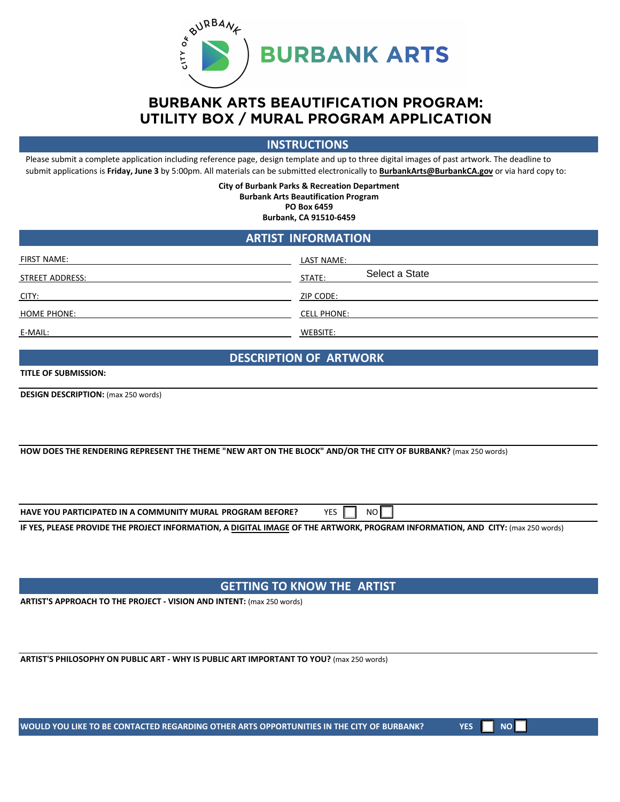

### **BURBANK ARTS BEAUTIFICATION PROGRAM: UTILITY BOX / MURAL PROGRAM APPLICATION**

**INSTRUCTIONS**

Please submit a complete application including reference page, design template and up to three digital images of past artwork. The deadline to submit applications is **Friday, June 3** by 5:00pm. All materials can be submitted electronically to **B[urbank](mailto:burbankarts@burbankca.gov)Arts@BurbankCA.gov** or via hard copy to:

> **City of Burbank Parks & Recreation Department Burbank Arts Beautification Program PO Box 6459 Burbank, CA 91510-6459**

### **ARTIST INFORMATION**

| FIRST NAME:            | LAST NAME:               |
|------------------------|--------------------------|
| <b>STREET ADDRESS:</b> | Select a State<br>STATE: |
| CITY:                  | ZIP CODE:                |
| <b>HOME PHONE:</b>     | <b>CELL PHONE:</b>       |
| E-MAIL:                | WEBSITE:                 |

#### **DESCRIPTION OF ARTWORK**

#### **TITLE OF SUBMISSION:**

**DESIGN DESCRIPTION:** (max 250 words)

**HOW DOES THE RENDERING REPRESENT THE THEME "NEW ART ON THE BLOCK" AND/OR THE CITY OF BURBANK?** (max 250 words)

**HAVE YOU PARTICIPATED IN A COMMUNITY MURAL PROGRAM BEFORE?** YES  $\begin{bmatrix} 1 & \text{NO} \end{bmatrix}$ 

**IF YES, PLEASE PROVIDE THE PROJECT INFORMATION, A DIGITAL IMAGE OF THE ARTWORK, PROGRAM INFORMATION, AND CITY:** (max 250 words)

**GETTING TO KNOW THE ARTIST**

**ARTIST'S APPROACH TO THE PROJECT - VISION AND INTENT:** (max 250 words)

**ARTIST'S PHILOSOPHY ON PUBLIC ART - WHY IS PUBLIC ART IMPORTANT TO YOU?** (max 250 words)

WOULD YOU LIKE TO BE CONTACTED REGARDING OTHER ARTS OPPORTUNITIES IN THE CITY OF BURBANK? YES **YOU ALLOWER** NO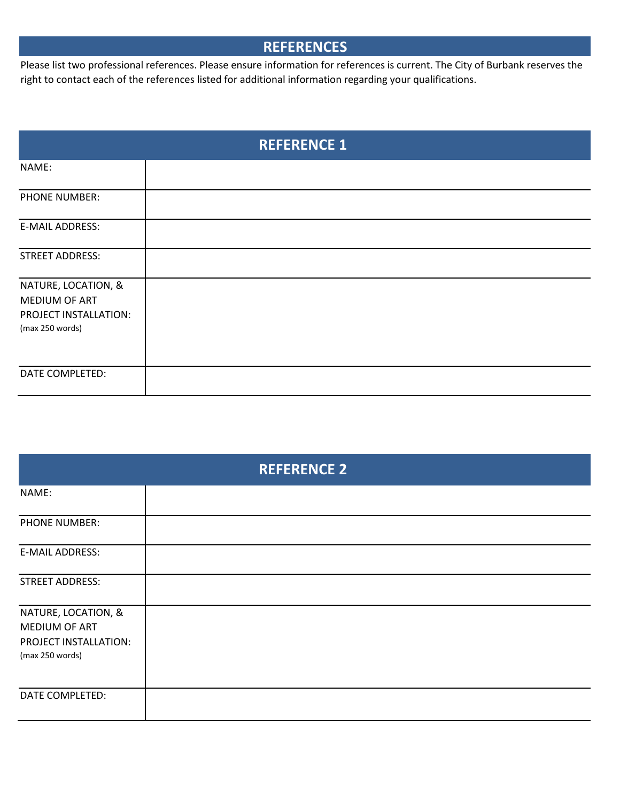# **REFERENCES**

Please list two professional references. Please ensure information for references is current. The City of Burbank reserves the right to contact each of the references listed for additional information regarding your qualifications.

| <b>REFERENCE 1</b>                                                               |  |
|----------------------------------------------------------------------------------|--|
| NAME:                                                                            |  |
| PHONE NUMBER:                                                                    |  |
| E-MAIL ADDRESS:                                                                  |  |
| <b>STREET ADDRESS:</b>                                                           |  |
| NATURE, LOCATION, &<br>MEDIUM OF ART<br>PROJECT INSTALLATION:<br>(max 250 words) |  |
| DATE COMPLETED:                                                                  |  |

| <b>REFERENCE 2</b>                                                               |  |
|----------------------------------------------------------------------------------|--|
| NAME:                                                                            |  |
| PHONE NUMBER:                                                                    |  |
| E-MAIL ADDRESS:                                                                  |  |
| <b>STREET ADDRESS:</b>                                                           |  |
| NATURE, LOCATION, &<br>MEDIUM OF ART<br>PROJECT INSTALLATION:<br>(max 250 words) |  |
| DATE COMPLETED:                                                                  |  |